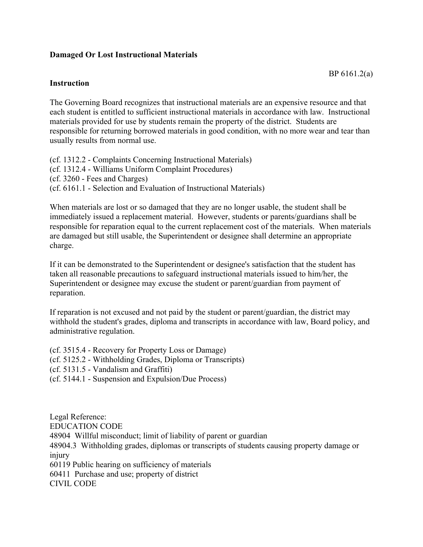## **Damaged Or Lost Instructional Materials**

## **Instruction**

The Governing Board recognizes that instructional materials are an expensive resource and that each student is entitled to sufficient instructional materials in accordance with law. Instructional materials provided for use by students remain the property of the district. Students are

responsible for returning borrowed materials in good condition, with no more wear and tear than usually results from normal use.

(cf. 1312.2 - Complaints Concerning Instructional Materials) (cf. 1312.4 - Williams Uniform Complaint Procedures) (cf. 3260 - Fees and Charges) (cf. 6161.1 - Selection and Evaluation of Instructional Materials)

When materials are lost or so damaged that they are no longer usable, the student shall be immediately issued a replacement material. However, students or parents/guardians shall be responsible for reparation equal to the current replacement cost of the materials. When materials are damaged but still usable, the Superintendent or designee shall determine an appropriate charge.

If it can be demonstrated to the Superintendent or designee's satisfaction that the student has taken all reasonable precautions to safeguard instructional materials issued to him/her, the Superintendent or designee may excuse the student or parent/guardian from payment of reparation.

If reparation is not excused and not paid by the student or parent/guardian, the district may withhold the student's grades, diploma and transcripts in accordance with law, Board policy, and administrative regulation.

(cf. 3515.4 - Recovery for Property Loss or Damage) (cf. 5125.2 - Withholding Grades, Diploma or Transcripts) (cf. 5131.5 - Vandalism and Graffiti) (cf. 5144.1 - Suspension and Expulsion/Due Process)

Legal Reference: EDUCATION CODE 48904 Willful misconduct; limit of liability of parent or guardian 48904.3 Withholding grades, diplomas or transcripts of students causing property damage or injury 60119 Public hearing on sufficiency of materials 60411 Purchase and use; property of district CIVIL CODE